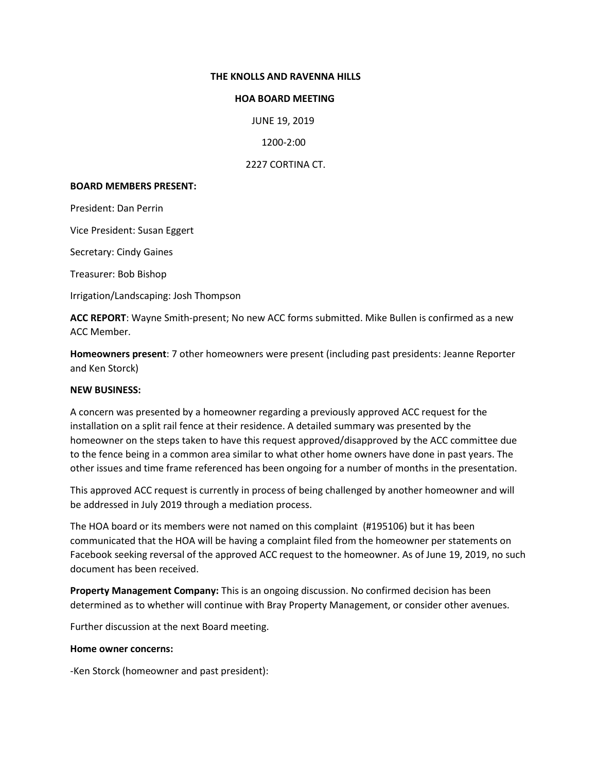## **THE KNOLLS AND RAVENNA HILLS**

## **HOA BOARD MEETING**

JUNE 19, 2019

1200-2:00

2227 CORTINA CT.

## **BOARD MEMBERS PRESENT:**

President: Dan Perrin

Vice President: Susan Eggert

Secretary: Cindy Gaines

Treasurer: Bob Bishop

Irrigation/Landscaping: Josh Thompson

**ACC REPORT**: Wayne Smith-present; No new ACC forms submitted. Mike Bullen is confirmed as a new ACC Member.

**Homeowners present**: 7 other homeowners were present (including past presidents: Jeanne Reporter and Ken Storck)

## **NEW BUSINESS:**

A concern was presented by a homeowner regarding a previously approved ACC request for the installation on a split rail fence at their residence. A detailed summary was presented by the homeowner on the steps taken to have this request approved/disapproved by the ACC committee due to the fence being in a common area similar to what other home owners have done in past years. The other issues and time frame referenced has been ongoing for a number of months in the presentation.

This approved ACC request is currently in process of being challenged by another homeowner and will be addressed in July 2019 through a mediation process.

The HOA board or its members were not named on this complaint (#195106) but it has been communicated that the HOA will be having a complaint filed from the homeowner per statements on Facebook seeking reversal of the approved ACC request to the homeowner. As of June 19, 2019, no such document has been received.

**Property Management Company:** This is an ongoing discussion. No confirmed decision has been determined as to whether will continue with Bray Property Management, or consider other avenues.

Further discussion at the next Board meeting.

## **Home owner concerns:**

-Ken Storck (homeowner and past president):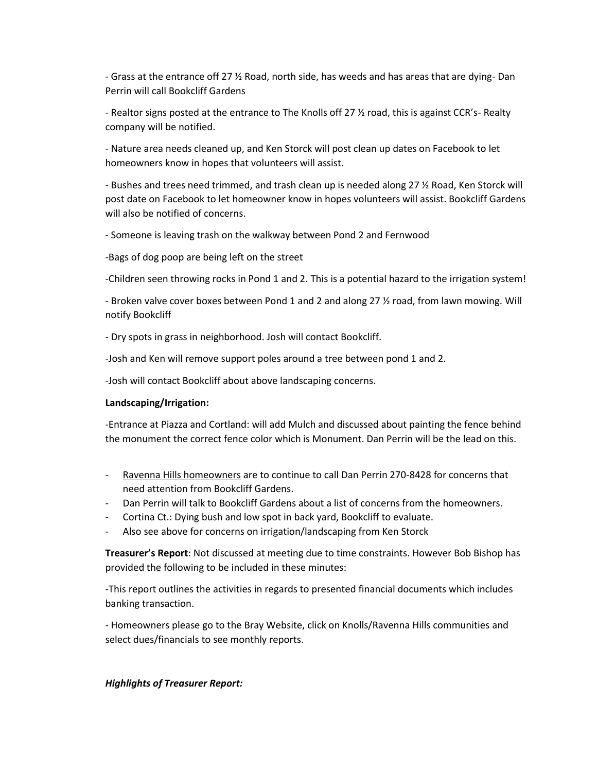- Grass at the entrance off 27 ½ Road, north side, has weeds and has areas that are dying- Dan Perrin will call Bookcliff Gardens

- Realtor signs posted at the entrance to The Knolls off 27 ½ road, this is against CCR's- Realty company will be notified.

- Nature area needs cleaned up, and Ken Storck will post clean up dates on Facebook to let homeowners know in hopes that volunteers will assist.

- Bushes and trees need trimmed, and trash clean up is needed along 27 ½ Road, Ken Storck will post date on Facebook to let homeowner know in hopes volunteers will assist. Bookcliff Gardens will also be notified of concerns.

- Someone is leaving trash on the walkway between Pond 2 and Fernwood

-Bags of dog poop are being left on the street

-Children seen throwing rocks in Pond 1 and 2. This is a potential hazard to the irrigation system!

- Broken valve cover boxes between Pond 1 and 2 and along 27 ½ road, from lawn mowing. Will notify Bookcliff

- Dry spots in grass in neighborhood. Josh will contact Bookcliff.

-Josh and Ken will remove support poles around a tree between pond 1 and 2.

-Josh will contact Bookcliff about above landscaping concerns.

## **Landscaping/Irrigation:**

-Entrance at Piazza and Cortland: will add Mulch and discussed about painting the fence behind the monument the correct fence color which is Monument. Dan Perrin will be the lead on this.

- Ravenna Hills homeowners are to continue to call Dan Perrin 270-8428 for concerns that need attention from Bookcliff Gardens.
- Dan Perrin will talk to Bookcliff Gardens about a list of concerns from the homeowners.
- Cortina Ct.: Dying bush and low spot in back yard, Bookcliff to evaluate.
- Also see above for concerns on irrigation/landscaping from Ken Storck

**Treasurer's Report**: Not discussed at meeting due to time constraints. However Bob Bishop has provided the following to be included in these minutes:

-This report outlines the activities in regards to presented financial documents which includes banking transaction.

- Homeowners please go to the Bray Website, click on Knolls/Ravenna Hills communities and select dues/financials to see monthly reports.

## *Highlights of Treasurer Report:*